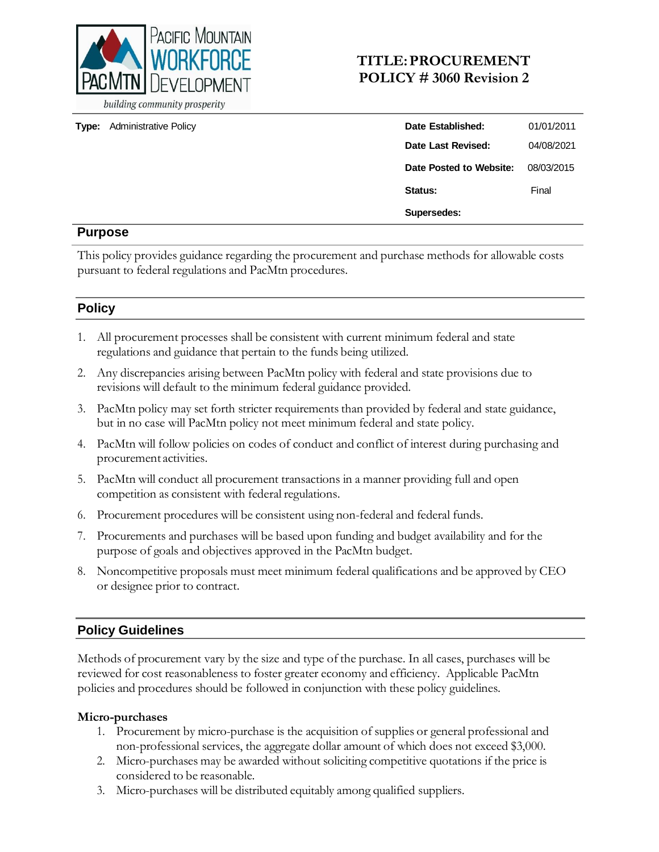

**Type:** Administrative Policy

## **TITLE:PROCUREMENT POLICY # 3060 Revision 2**

| Date Established:       | 01/01/2011 |
|-------------------------|------------|
| Date Last Revised:      | 04/08/2021 |
| Date Posted to Website: | 08/03/2015 |
| Status:                 | Final      |
| Supersedes:             |            |

### **Purpose**

This policy provides guidance regarding the procurement and purchase methods for allowable costs pursuant to federal regulations and PacMtn procedures.

## **Policy**

- 1. All procurement processes shall be consistent with current minimum federal and state regulations and guidance that pertain to the funds being utilized.
- 2. Any discrepancies arising between PacMtn policy with federal and state provisions due to revisions will default to the minimum federal guidance provided.
- 3. PacMtn policy may set forth stricter requirements than provided by federal and state guidance, but in no case will PacMtn policy not meet minimum federal and state policy.
- 4. PacMtn will follow policies on codes of conduct and conflict of interest during purchasing and procurement activities.
- 5. PacMtn will conduct all procurement transactions in a manner providing full and open competition as consistent with federal regulations.
- 6. Procurement procedures will be consistent using non-federal and federal funds.
- 7. Procurements and purchases will be based upon funding and budget availability and for the purpose of goals and objectives approved in the PacMtn budget.
- 8. Noncompetitive proposals must meet minimum federal qualifications and be approved by CEO or designee prior to contract.

## **Policy Guidelines**

Methods of procurement vary by the size and type of the purchase. In all cases, purchases will be reviewed for cost reasonableness to foster greater economy and efficiency. Applicable PacMtn policies and procedures should be followed in conjunction with these policy guidelines.

#### **Micro-purchases**

- 1. Procurement by micro-purchase is the acquisition of supplies or general professional and non-professional services, the aggregate dollar amount of which does not exceed \$3,000.
- 2. Micro-purchases may be awarded without soliciting competitive quotations if the price is considered to be reasonable.
- 3. Micro-purchases will be distributed equitably among qualified suppliers.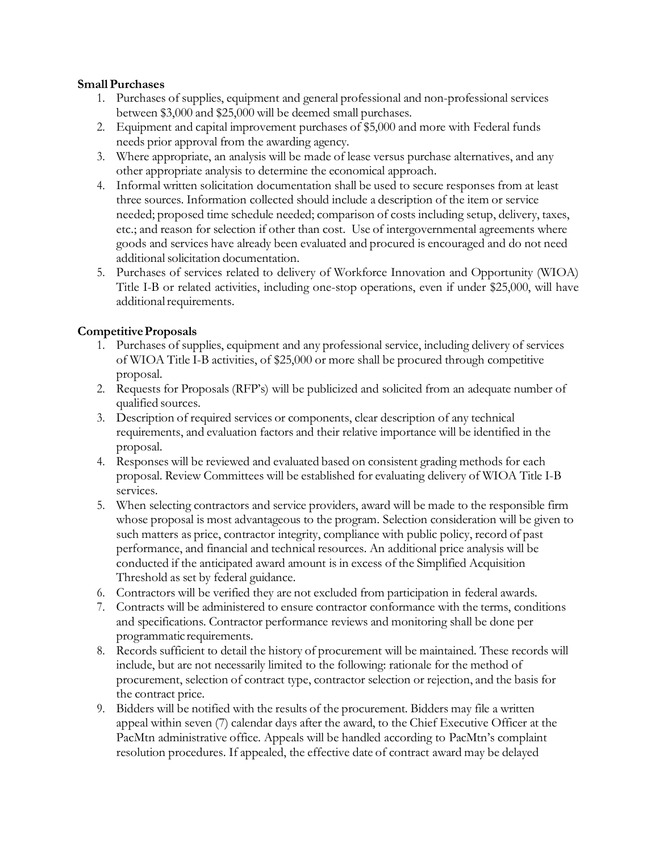#### **SmallPurchases**

- 1. Purchases of supplies, equipment and general professional and non-professional services between \$3,000 and \$25,000 will be deemed small purchases.
- 2. Equipment and capital improvement purchases of \$5,000 and more with Federal funds needs prior approval from the awarding agency.
- 3. Where appropriate, an analysis will be made of lease versus purchase alternatives, and any other appropriate analysis to determine the economical approach.
- 4. Informal written solicitation documentation shall be used to secure responses from at least three sources. Information collected should include a description of the item or service needed; proposed time schedule needed; comparison of costs including setup, delivery, taxes, etc.; and reason for selection if other than cost. Use of intergovernmental agreements where goods and services have already been evaluated and procured is encouraged and do not need additional solicitation documentation.
- 5. Purchases of services related to delivery of Workforce Innovation and Opportunity (WIOA) Title I-B or related activities, including one-stop operations, even if under \$25,000, will have additional requirements.

### **CompetitiveProposals**

- 1. Purchases of supplies, equipment and any professional service, including delivery of services of WIOA Title I-B activities, of \$25,000 or more shall be procured through competitive proposal.
- 2. Requests for Proposals (RFP's) will be publicized and solicited from an adequate number of qualified sources.
- 3. Description of required services or components, clear description of any technical requirements, and evaluation factors and their relative importance will be identified in the proposal.
- 4. Responses will be reviewed and evaluated based on consistent grading methods for each proposal. Review Committees will be established for evaluating delivery of WIOA Title I-B services.
- 5. When selecting contractors and service providers, award will be made to the responsible firm whose proposal is most advantageous to the program. Selection consideration will be given to such matters as price, contractor integrity, compliance with public policy, record of past performance, and financial and technical resources. An additional price analysis will be conducted if the anticipated award amount is in excess of the Simplified Acquisition Threshold as set by federal guidance.
- 6. Contractors will be verified they are not excluded from participation in federal awards.
- 7. Contracts will be administered to ensure contractor conformance with the terms, conditions and specifications. Contractor performance reviews and monitoring shall be done per programmatic requirements.
- 8. Records sufficient to detail the history of procurement will be maintained. These records will include, but are not necessarily limited to the following: rationale for the method of procurement, selection of contract type, contractor selection or rejection, and the basis for the contract price.
- 9. Bidders will be notified with the results of the procurement. Bidders may file a written appeal within seven (7) calendar days after the award, to the Chief Executive Officer at the PacMtn administrative office. Appeals will be handled according to PacMtn's complaint resolution procedures. If appealed, the effective date of contract award may be delayed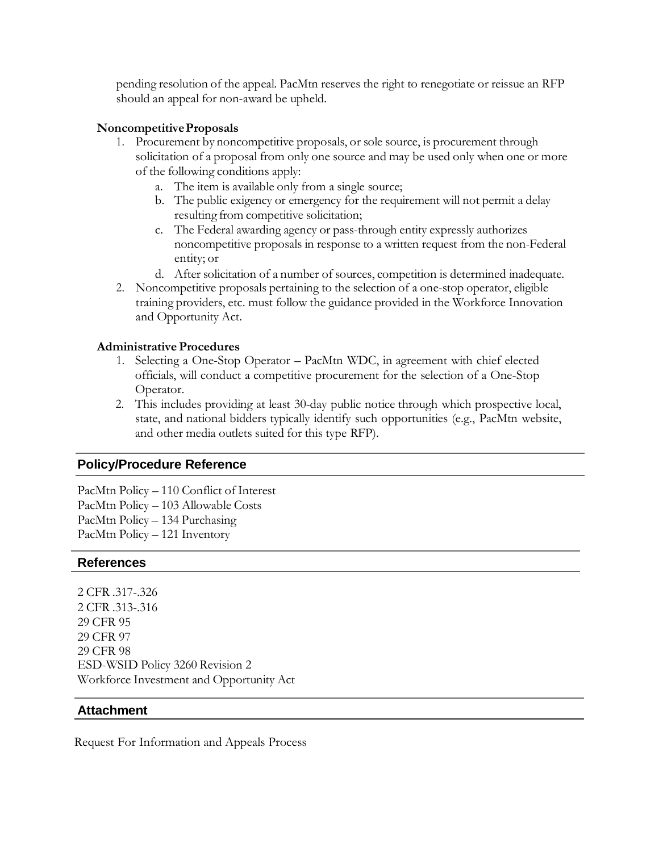pending resolution of the appeal. PacMtn reserves the right to renegotiate or reissue an RFP should an appeal for non-award be upheld.

#### **NoncompetitiveProposals**

- 1. Procurement by noncompetitive proposals, or sole source, is procurement through solicitation of a proposal from only one source and may be used only when one or more of the following conditions apply:
	- a. The item is available only from a single source;
	- b. The public exigency or emergency for the requirement will not permit a delay resulting from competitive solicitation;
	- c. The Federal awarding agency or pass-through entity expressly authorizes noncompetitive proposals in response to a written request from the non-Federal entity; or
	- d. After solicitation of a number of sources, competition is determined inadequate.
- 2. Noncompetitive proposals pertaining to the selection of a one-stop operator, eligible training providers, etc. must follow the guidance provided in the Workforce Innovation and Opportunity Act.

#### **Administrative Procedures**

- 1. Selecting a One-Stop Operator PacMtn WDC, in agreement with chief elected officials, will conduct a competitive procurement for the selection of a One-Stop Operator.
- 2. This includes providing at least 30-day public notice through which prospective local, state, and national bidders typically identify such opportunities (e.g., PacMtn website, and other media outlets suited for this type RFP).

#### **Policy/Procedure Reference**

PacMtn Policy – 110 Conflict of Interest PacMtn Policy – 103 Allowable Costs PacMtn Policy – 134 Purchasing PacMtn Policy – 121 Inventory

#### **References**

2 CFR .317-.326 2 CFR .313-.316 29 CFR 95 29 CFR 97 29 CFR 98 ESD-WSID Policy 3260 Revision 2 Workforce Investment and Opportunity Act

#### **Attachment**

Request For Information and Appeals Process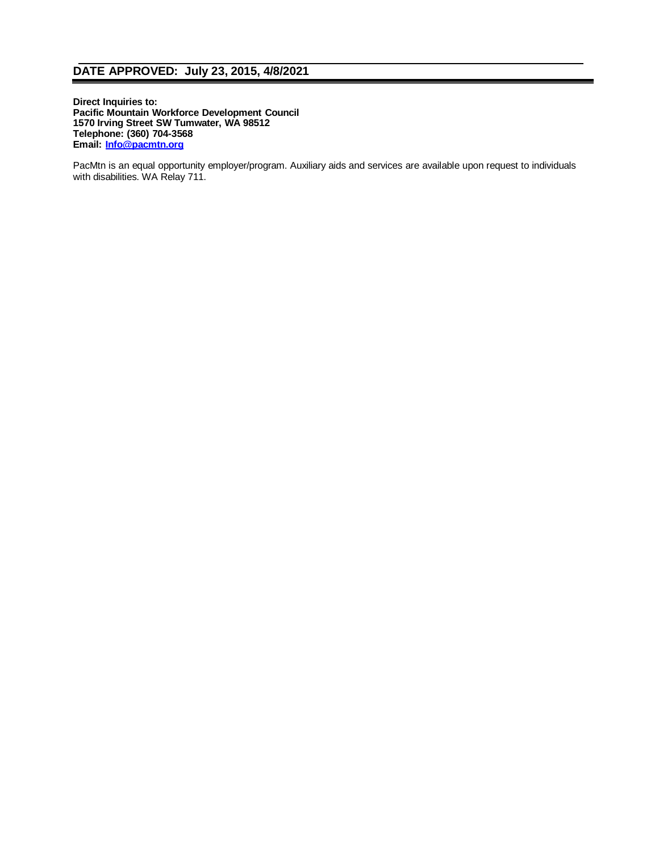### **DATE APPROVED: July 23, 2015, 4/8/2021**

**Direct Inquiries to: Pacific Mountain Workforce Development Council 1570 Irving Street SW Tumwater, WA 98512 Telephone: (360) 704-3568 Email: [Info@pacmtn.org](mailto:Info@pacmtn.org)**

PacMtn is an equal opportunity employer/program. Auxiliary aids and services are available upon request to individuals with disabilities. WA Relay 711.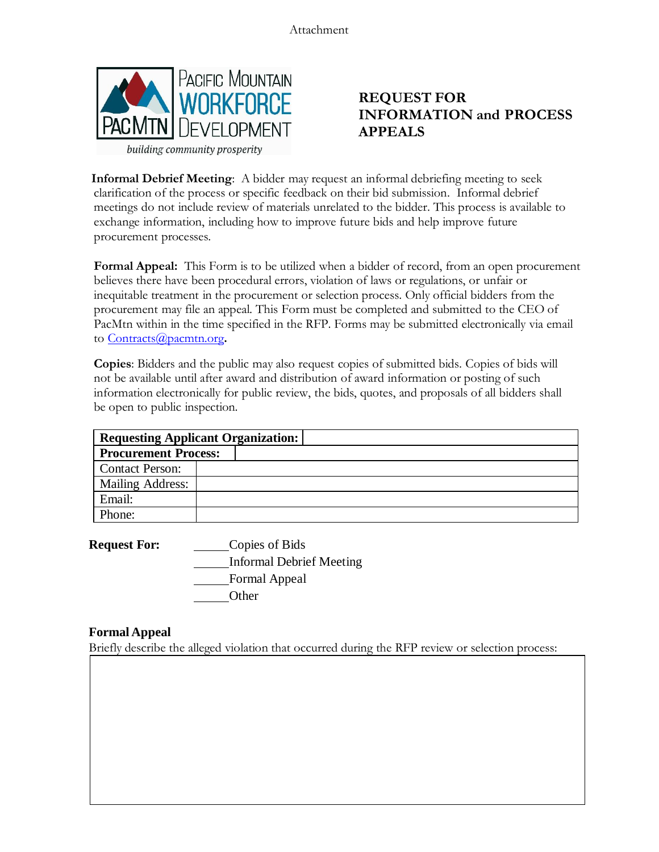Attachment



# **REQUEST FOR INFORMATION and PROCESS APPEALS**

**Informal Debrief Meeting**: A bidder may request an informal debriefing meeting to seek clarification of the process or specific feedback on their bid submission. Informal debrief meetings do not include review of materials unrelated to the bidder. This process is available to exchange information, including how to improve future bids and help improve future procurement processes.

**Formal Appeal:** This Form is to be utilized when a bidder of record, from an open procurement believes there have been procedural errors, violation of laws or regulations, or unfair or inequitable treatment in the procurement or selection process. Only official bidders from the procurement may file an appeal. This Form must be completed and submitted to the CEO of PacMtn within in the time specified in the RFP. Forms may be submitted electronically via email to [Contracts@pacmtn.org](mailto:Contracts@pacmtn.org)**.**

**Copies**: Bidders and the public may also request copies of submitted bids. Copies of bids will not be available until after award and distribution of award information or posting of such information electronically for public review, the bids, quotes, and proposals of all bidders shall be open to public inspection.

|                             | <b>Requesting Applicant Organization:</b> |
|-----------------------------|-------------------------------------------|
| <b>Procurement Process:</b> |                                           |
| <b>Contact Person:</b>      |                                           |
| Mailing Address:            |                                           |
| Email:                      |                                           |
| Phone:                      |                                           |

**Request For:** Copies of Bids Informal Debrief Meeting Formal Appeal **Other** 

### **Formal Appeal**

Briefly describe the alleged violation that occurred during the RFP review or selection process: